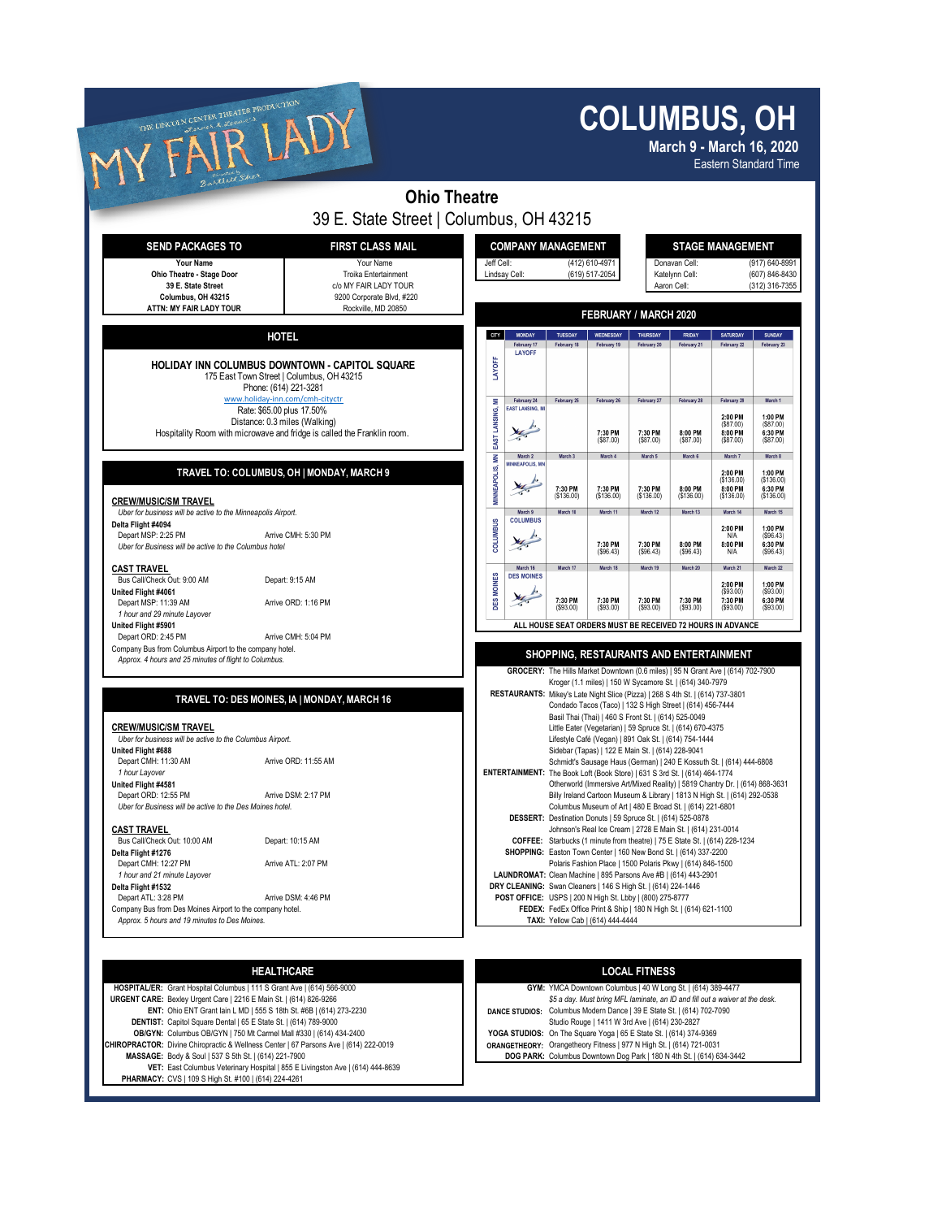## **COLUMBUS, OH**

| THE LINCOLN CENTER THEATER PRODUCTION                                                                                                                                                                                |                                                                                                                |                           |  |                                                                 | <b>COLUMBUS, OH</b><br>March 9 - March 16, 2020<br><b>Eastern Standard Time</b>                                                                                                                                |                                                                                                                                                                                                                                                                                                                 |                         |                                                                                                                                                                                                         |                                                 |                                                |  |  |
|----------------------------------------------------------------------------------------------------------------------------------------------------------------------------------------------------------------------|----------------------------------------------------------------------------------------------------------------|---------------------------|--|-----------------------------------------------------------------|----------------------------------------------------------------------------------------------------------------------------------------------------------------------------------------------------------------|-----------------------------------------------------------------------------------------------------------------------------------------------------------------------------------------------------------------------------------------------------------------------------------------------------------------|-------------------------|---------------------------------------------------------------------------------------------------------------------------------------------------------------------------------------------------------|-------------------------------------------------|------------------------------------------------|--|--|
| Bartlett She                                                                                                                                                                                                         |                                                                                                                | <b>Ohio Theatre</b>       |  |                                                                 |                                                                                                                                                                                                                |                                                                                                                                                                                                                                                                                                                 |                         |                                                                                                                                                                                                         |                                                 |                                                |  |  |
|                                                                                                                                                                                                                      | 39 E. State Street   Columbus, OH 43215                                                                        |                           |  |                                                                 |                                                                                                                                                                                                                |                                                                                                                                                                                                                                                                                                                 |                         |                                                                                                                                                                                                         |                                                 |                                                |  |  |
| <b>SEND PACKAGES TO</b>                                                                                                                                                                                              |                                                                                                                | <b>COMPANY MANAGEMENT</b> |  |                                                                 |                                                                                                                                                                                                                |                                                                                                                                                                                                                                                                                                                 | <b>STAGE MANAGEMENT</b> |                                                                                                                                                                                                         |                                                 |                                                |  |  |
| Your Name<br>Ohio Theatre - Stage Door<br>39 E. State Street<br>Columbus, OH 43215                                                                                                                                   | Your Name<br>Troika Entertainment<br>c/o MY FAIR LADY TOUR<br>9200 Corporate Blvd, #220<br>Rockville, MD 20850 |                           |  | Jeff Cell:<br>(412) 610-4971<br>(619) 517-2054<br>Lindsay Cell: |                                                                                                                                                                                                                |                                                                                                                                                                                                                                                                                                                 |                         | Donavan Cell:<br>(917) 640-8991<br>(607) 846-8430<br>Katelynn Cell:<br>Aaron Cell:<br>(312) 316-7355                                                                                                    |                                                 |                                                |  |  |
| ATTN: MY FAIR LADY TOUR                                                                                                                                                                                              |                                                                                                                |                           |  |                                                                 |                                                                                                                                                                                                                |                                                                                                                                                                                                                                                                                                                 | FEBRUARY / MARCH 2020   |                                                                                                                                                                                                         |                                                 |                                                |  |  |
| <b>HOTEL</b>                                                                                                                                                                                                         |                                                                                                                | CITY                      |  | <b>MONDAY</b><br>February 17                                    | TUESDAY<br>February 18                                                                                                                                                                                         | WEDNESDAY<br>February 19                                                                                                                                                                                                                                                                                        | THURSDAY<br>February 20 | <b>FRIDAY</b><br>February 21                                                                                                                                                                            | <b>SATURDAY</b><br>February 22                  | <b>SUNDAY</b><br>February 23                   |  |  |
| HOLIDAY INN COLUMBUS DOWNTOWN - CAPITOL SQUARE<br>175 East Town Street   Columbus, OH 43215<br>Phone: (614) 221-3281                                                                                                 |                                                                                                                | LAYOFF                    |  | <b>LAYOFF</b>                                                   |                                                                                                                                                                                                                |                                                                                                                                                                                                                                                                                                                 |                         |                                                                                                                                                                                                         |                                                 |                                                |  |  |
| www.holiday-inn.com/cmh-cityctr<br>Rate: \$65.00 plus 17.50%<br>Distance: 0.3 miles (Walking)<br>Hospitality Room with microwave and fridge is called the Franklin room.                                             |                                                                                                                | ž<br>EAST LANSING,        |  | February 24<br><b>EAST LANSING, M</b>                           | February 25                                                                                                                                                                                                    | February 26                                                                                                                                                                                                                                                                                                     | February 27<br>7:30 PM  | February 28<br>8:00 PM                                                                                                                                                                                  | February 29<br>2:00 PM<br>(\$87.00)<br>8:00 PM  | March 1<br>1:00 PM<br>$($ \$87.00)<br>6:30 PM  |  |  |
|                                                                                                                                                                                                                      |                                                                                                                |                           |  | March 2                                                         | March <sub>3</sub>                                                                                                                                                                                             | 7:30 PM<br>(\$87.00)<br>March 4                                                                                                                                                                                                                                                                                 | (\$87.00)<br>March 5    | (S87.00)<br>March 6                                                                                                                                                                                     | (S87.00)<br>March 7                             | ( \$87.00)<br>March 8                          |  |  |
| TRAVEL TO: COLUMBUS, OH   MONDAY, MARCH 9                                                                                                                                                                            |                                                                                                                | MINNEAPOLIS, MN           |  | <b>MINNEAPOLIS, MI</b>                                          | 7:30 PM<br>( \$136.00)                                                                                                                                                                                         | 7:30 PM<br>(\$136.00)                                                                                                                                                                                                                                                                                           | 7:30 PM<br>(\$136.00)   | 8:00 PM<br>(S136.00)                                                                                                                                                                                    | 2:00 PM<br>(\$136.00)<br>8:00 PM<br>( \$136.00) | 1:00 PM<br>(\$136.00)<br>6:30 PM<br>(\$136.00) |  |  |
| <b>CREW/MUSIC/SM TRAVEL</b><br>Uber for business will be active to the Minneapolis Airport.<br>Delta Flight #4094<br>Depart MSP: 2:25 PM<br>Arrive CMH: 5:30 PM                                                      |                                                                                                                | <b>COLUMBUS</b>           |  | March 9<br><b>COLUMBUS</b>                                      | March 10                                                                                                                                                                                                       | March 11                                                                                                                                                                                                                                                                                                        | March 12                | March 13                                                                                                                                                                                                | March 14<br>2:00 PM<br>N/A                      | March 15<br>1:00 PM<br>( \$96.43)              |  |  |
| Uber for Business will be active to the Columbus hotel                                                                                                                                                               |                                                                                                                |                           |  |                                                                 |                                                                                                                                                                                                                | 7:30 PM<br>( \$96.43)                                                                                                                                                                                                                                                                                           | 7:30 PM<br>(\$96.43)    | 8:00 PM<br>( \$96.43]                                                                                                                                                                                   | 8:00 PM<br>N/A                                  | 6:30 PM<br>( \$96.43)                          |  |  |
| <b>CAST TRAVEL</b><br>Bus Call/Check Out: 9:00 AM<br>Depart: 9:15 AM<br>United Flight #4061                                                                                                                          |                                                                                                                | <b>DES MOINES</b>         |  | March 16<br><b>DES MOINES</b>                                   | March 17<br>7:30 PM                                                                                                                                                                                            | March 18<br>7:30 PM                                                                                                                                                                                                                                                                                             | March 19<br>7:30 PM     | March 20<br>7:30 PM                                                                                                                                                                                     | March 21<br>2:00 PM<br>(\$93.00)<br>7:30 PM     | March 22<br>1:00 PM<br>(S93.00)<br>6:30 PM     |  |  |
| Depart MSP: 11:39 AM<br>Arrive ORD: 1:16 PM<br>1 hour and 29 minute Layover<br>United Flight #5901<br>Depart ORD: 2:45 PM<br>Arrive CMH: 5:04 PM                                                                     |                                                                                                                |                           |  |                                                                 | (S93.00)                                                                                                                                                                                                       | ( \$93.00)                                                                                                                                                                                                                                                                                                      | (\$93.00)               | ( \$93.00)<br>ALL HOUSE SEAT ORDERS MUST BE RECEIVED 72 HOURS IN ADVANCE                                                                                                                                | (S93.00)                                        | ( \$93.00)                                     |  |  |
| Company Bus from Columbus Airport to the company hotel.<br>Approx. 4 hours and 25 minutes of flight to Columbus.                                                                                                     |                                                                                                                |                           |  |                                                                 |                                                                                                                                                                                                                |                                                                                                                                                                                                                                                                                                                 |                         | SHOPPING, RESTAURANTS AND ENTERTAINMENT<br>GROCERY: The Hills Market Downtown (0.6 miles)   95 N Grant Ave   (614) 702-7900                                                                             |                                                 |                                                |  |  |
| TRAVEL TO: DES MOINES, IA   MONDAY, MARCH 16                                                                                                                                                                         |                                                                                                                |                           |  |                                                                 |                                                                                                                                                                                                                | Basil Thai (Thai)   460 S Front St.   (614) 525-0049                                                                                                                                                                                                                                                            |                         | Kroger (1.1 miles)   150 W Sycamore St.   (614) 340-7979<br>RESTAURANTS: Mikey's Late Night Slice (Pizza)   268 S 4th St.   (614) 737-3801<br>Condado Tacos (Taco)   132 S High Street   (614) 456-7444 |                                                 |                                                |  |  |
| <b>CREW/MUSIC/SM TRAVEL</b><br>Uber for business will be active to the Columbus Airport.<br>United Flight #688                                                                                                       |                                                                                                                |                           |  |                                                                 |                                                                                                                                                                                                                | Sidebar (Tapas)   122 E Main St.   (614) 228-9041                                                                                                                                                                                                                                                               |                         | Little Eater (Vegetarian)   59 Spruce St.   (614) 670-4375<br>Lifestyle Café (Vegan)   891 Oak St.   (614) 754-1444                                                                                     |                                                 |                                                |  |  |
| Depart CMH: 11:30 AM<br>Arrive ORD: 11:55 AM<br>1 hour Layover<br>United Flight #4581<br>Depart ORD: 12:55 PM                                                                                                        |                                                                                                                |                           |  |                                                                 |                                                                                                                                                                                                                | Schmidt's Sausage Haus (German)   240 E Kossuth St.   (614) 444-6808<br>ENTERTAINMENT: The Book Loft (Book Store)   631 S 3rd St.   (614) 464-1774<br>Otherworld (Immersive Art/Mixed Reality)   5819 Chantry Dr.   (614) 868-3631<br>Billy Ireland Cartoon Museum & Library   1813 N High St.   (614) 292-0538 |                         |                                                                                                                                                                                                         |                                                 |                                                |  |  |
| Arrive DSM: 2:17 PM<br>Uber for Business will be active to the Des Moines hotel.                                                                                                                                     |                                                                                                                |                           |  |                                                                 |                                                                                                                                                                                                                | Columbus Museum of Art   480 E Broad St.   (614) 221-6801<br>DESSERT: Destination Donuts   59 Spruce St.   (614) 525-0878                                                                                                                                                                                       |                         |                                                                                                                                                                                                         |                                                 |                                                |  |  |
| <b>CAST TRAVEL</b><br>Bus Call/Check Out: 10:00 AM<br>Depart: 10:15 AM<br>Delta Flight #1276                                                                                                                         |                                                                                                                |                           |  |                                                                 | Johnson's Real Ice Cream   2728 E Main St.   (614) 231-0014<br>COFFEE: Starbucks (1 minute from theatre)   75 E State St.   (614) 228-1234<br>SHOPPING: Easton Town Center   160 New Bond St.   (614) 337-2200 |                                                                                                                                                                                                                                                                                                                 |                         |                                                                                                                                                                                                         |                                                 |                                                |  |  |
| Depart CMH: 12:27 PM<br>Arrive ATL: 2:07 PM<br>1 hour and 21 minute Layover<br>Delta Flight #1532                                                                                                                    |                                                                                                                |                           |  |                                                                 |                                                                                                                                                                                                                | DRY CLEANING: Swan Cleaners   146 S High St.   (614) 224-1446                                                                                                                                                                                                                                                   |                         | Polaris Fashion Place   1500 Polaris Pkwy   (614) 846-1500<br>LAUNDROMAT: Clean Machine   895 Parsons Ave #B   (614) 443-2901                                                                           |                                                 |                                                |  |  |
| Depart ATL: 3:28 PM<br>Arrive DSM: 4:46 PM<br>Company Bus from Des Moines Airport to the company hotel.<br>Approx. 5 hours and 19 minutes to Des Moines.                                                             |                                                                                                                |                           |  |                                                                 |                                                                                                                                                                                                                | POST OFFICE: USPS   200 N High St. Lbby   (800) 275-8777<br>TAXI: Yellow Cab   (614) 444-4444                                                                                                                                                                                                                   |                         | FEDEX: FedEx Office Print & Ship   180 N High St.   (614) 621-1100                                                                                                                                      |                                                 |                                                |  |  |
|                                                                                                                                                                                                                      |                                                                                                                |                           |  |                                                                 |                                                                                                                                                                                                                |                                                                                                                                                                                                                                                                                                                 |                         |                                                                                                                                                                                                         |                                                 |                                                |  |  |
| <b>HEALTHCARE</b>                                                                                                                                                                                                    |                                                                                                                |                           |  |                                                                 |                                                                                                                                                                                                                |                                                                                                                                                                                                                                                                                                                 | <b>LOCAL FITNESS</b>    |                                                                                                                                                                                                         |                                                 |                                                |  |  |
| HOSPITAL/ER: Grant Hospital Columbus   111 S Grant Ave   (614) 566-9000<br>URGENT CARE: Bexley Urgent Care   2216 E Main St.   (614) 826-9266<br>ENT: Ohio ENT Grant lain L MD   555 S 18th St. #6B   (614) 273-2230 |                                                                                                                |                           |  |                                                                 |                                                                                                                                                                                                                | DANCE STUDIOS: Columbus Modern Dance   39 E State St.   (614) 702-7090                                                                                                                                                                                                                                          |                         | GYM: YMCA Downtown Columbus   40 W Long St.   (614) 389-4477<br>\$5 a day. Must bring MFL laminate, an ID and fill out a waiver at the desk.                                                            |                                                 |                                                |  |  |

Studio Rouge | 1411 W 3rd Ave | (614) 230-2827<br>OB/GYN: Columbus OB/GYN | 750 Mt Carmel Mall #330 | (614) 434-2400 COMERCYN COLUNDIS: On The Square Yoga | 65 E State St. | (614) 374-9369 **CHIROPRACTOR:** Divine Chiropractic & Wellness Center | 67 Parsons Ave | (614) 222-0019 **ORANGETHEORY:** Orangetheory Fitness | 977 N High St. | (614) 721-0031 **DOG PARK:** Columbus Downtown Dog Park | 180 N 4th St. | (614)

**VET:** East Columbus Veterinary Hospital | 855 E Livingston Ave | (614) 444-8639 **PHARMACY:** CVS | 109 S High St. #100 | (614) 224-4261

**MAGES 634-3442**<br>DOG PARK: Columbus Downtown Dog Park | 180 N 4th St. | (614) 634-3442